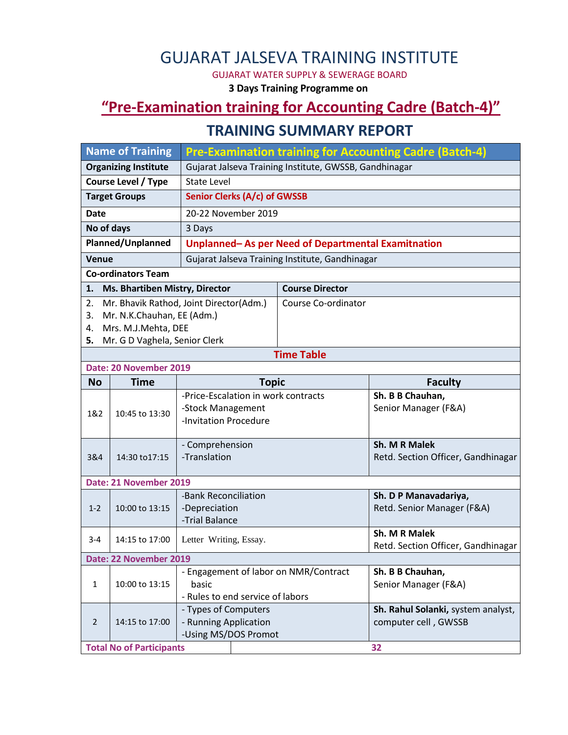# GUJARAT JALSEVA TRAINING INSTITUTE

GUJARAT WATER SUPPLY & SEWERAGE BOARD

**3 Days Training Programme on**

### **"Pre-Examination training for Accounting Cadre (Batch-4)"**

#### **TRAINING SUMMARY REPORT**

| <b>Name of Training</b>              |                                       | <b>Pre-Examination training for Accounting Cadre (Batch-4)</b> |                        |                                    |  |  |  |  |
|--------------------------------------|---------------------------------------|----------------------------------------------------------------|------------------------|------------------------------------|--|--|--|--|
| <b>Organizing Institute</b>          |                                       | Gujarat Jalseva Training Institute, GWSSB, Gandhinagar         |                        |                                    |  |  |  |  |
| <b>Course Level / Type</b>           |                                       | <b>State Level</b>                                             |                        |                                    |  |  |  |  |
| <b>Target Groups</b>                 |                                       | Senior Clerks (A/c) of GWSSB                                   |                        |                                    |  |  |  |  |
| <b>Date</b>                          |                                       | 20-22 November 2019                                            |                        |                                    |  |  |  |  |
| No of days                           |                                       | 3 Days                                                         |                        |                                    |  |  |  |  |
| Planned/Unplanned                    |                                       | Unplanned-As per Need of Departmental Examitnation             |                        |                                    |  |  |  |  |
| Venue                                |                                       | Gujarat Jalseva Training Institute, Gandhinagar                |                        |                                    |  |  |  |  |
| <b>Co-ordinators Team</b>            |                                       |                                                                |                        |                                    |  |  |  |  |
| Ms. Bhartiben Mistry, Director<br>1. |                                       |                                                                | <b>Course Director</b> |                                    |  |  |  |  |
| 2.                                   |                                       | Mr. Bhavik Rathod, Joint Director(Adm.)                        | Course Co-ordinator    |                                    |  |  |  |  |
| 3.                                   | Mr. N.K.Chauhan, EE (Adm.)            |                                                                |                        |                                    |  |  |  |  |
| 4.                                   | Mrs. M.J.Mehta, DEE                   |                                                                |                        |                                    |  |  |  |  |
| Mr. G D Vaghela, Senior Clerk<br>5.  |                                       |                                                                |                        |                                    |  |  |  |  |
| <b>Time Table</b>                    |                                       |                                                                |                        |                                    |  |  |  |  |
| Date: 20 November 2019               |                                       |                                                                |                        |                                    |  |  |  |  |
| <b>No</b>                            | <b>Time</b>                           | <b>Topic</b>                                                   |                        | <b>Faculty</b>                     |  |  |  |  |
| 1&2                                  | 10:45 to 13:30                        | -Price-Escalation in work contracts                            |                        | Sh. B B Chauhan,                   |  |  |  |  |
|                                      |                                       | -Stock Management<br>-Invitation Procedure                     |                        | Senior Manager (F&A)               |  |  |  |  |
|                                      |                                       |                                                                |                        |                                    |  |  |  |  |
|                                      |                                       | - Comprehension                                                |                        | Sh. M R Malek                      |  |  |  |  |
| 3&4                                  | 14:30 to 17:15                        | -Translation                                                   |                        | Retd. Section Officer, Gandhinagar |  |  |  |  |
|                                      |                                       |                                                                |                        |                                    |  |  |  |  |
| Date: 21 November 2019               |                                       |                                                                |                        |                                    |  |  |  |  |
|                                      |                                       | -Bank Reconciliation                                           |                        | Sh. D P Manavadariya,              |  |  |  |  |
| $1 - 2$                              | 10:00 to 13:15                        | -Depreciation<br>-Trial Balance                                |                        | Retd. Senior Manager (F&A)         |  |  |  |  |
|                                      |                                       |                                                                |                        | Sh. M R Malek                      |  |  |  |  |
| $3 - 4$                              | 14:15 to 17:00                        | Letter Writing, Essay.                                         |                        | Retd. Section Officer, Gandhinagar |  |  |  |  |
| Date: 22 November 2019               |                                       |                                                                |                        |                                    |  |  |  |  |
|                                      | - Engagement of labor on NMR/Contract |                                                                |                        | Sh. B B Chauhan,                   |  |  |  |  |
| $\mathbf{1}$                         | 10:00 to 13:15                        | basic                                                          |                        | Senior Manager (F&A)               |  |  |  |  |
|                                      | - Rules to end service of labors      |                                                                |                        |                                    |  |  |  |  |
|                                      |                                       | - Types of Computers                                           |                        | Sh. Rahul Solanki, system analyst, |  |  |  |  |
| $\overline{2}$                       | 14:15 to 17:00                        | - Running Application                                          |                        | computer cell, GWSSB               |  |  |  |  |
|                                      |                                       | -Using MS/DOS Promot                                           |                        |                                    |  |  |  |  |
|                                      | <b>Total No of Participants</b><br>32 |                                                                |                        |                                    |  |  |  |  |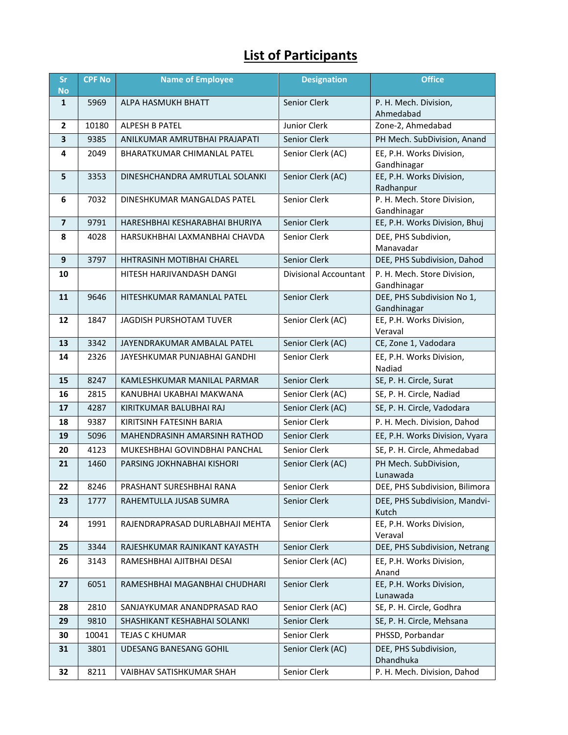## **List of Participants**

| <b>Sr</b><br><b>No</b> | <b>CPF No</b> | <b>Name of Employee</b>          | <b>Designation</b>    | <b>Office</b>                              |
|------------------------|---------------|----------------------------------|-----------------------|--------------------------------------------|
| $\mathbf{1}$           | 5969          | ALPA HASMUKH BHATT               | Senior Clerk          | P. H. Mech. Division,<br>Ahmedabad         |
| $\overline{2}$         | 10180         | ALPESH B PATEL                   | Junior Clerk          | Zone-2, Ahmedabad                          |
| 3                      | 9385          | ANILKUMAR AMRUTBHAI PRAJAPATI    | Senior Clerk          | PH Mech. SubDivision, Anand                |
| 4                      | 2049          | BHARATKUMAR CHIMANLAL PATEL      | Senior Clerk (AC)     | EE, P.H. Works Division,<br>Gandhinagar    |
| 5                      | 3353          | DINESHCHANDRA AMRUTLAL SOLANKI   | Senior Clerk (AC)     | EE, P.H. Works Division,<br>Radhanpur      |
| 6                      | 7032          | DINESHKUMAR MANGALDAS PATEL      | Senior Clerk          | P. H. Mech. Store Division,<br>Gandhinagar |
| $\overline{7}$         | 9791          | HARESHBHAI KESHARABHAI BHURIYA   | Senior Clerk          | EE, P.H. Works Division, Bhuj              |
| 8                      | 4028          | HARSUKHBHAI LAXMANBHAI CHAVDA    | Senior Clerk          | DEE, PHS Subdivion,<br>Manavadar           |
| 9                      | 3797          | <b>HHTRASINH MOTIBHAI CHAREL</b> | Senior Clerk          | DEE, PHS Subdivision, Dahod                |
| 10                     |               | HITESH HARJIVANDASH DANGI        | Divisional Accountant | P. H. Mech. Store Division,<br>Gandhinagar |
| 11                     | 9646          | HITESHKUMAR RAMANLAL PATEL       | Senior Clerk          | DEE, PHS Subdivision No 1,<br>Gandhinagar  |
| 12                     | 1847          | JAGDISH PURSHOTAM TUVER          | Senior Clerk (AC)     | EE, P.H. Works Division,<br>Veraval        |
| 13                     | 3342          | JAYENDRAKUMAR AMBALAL PATEL      | Senior Clerk (AC)     | CE, Zone 1, Vadodara                       |
| 14                     | 2326          | JAYESHKUMAR PUNJABHAI GANDHI     | Senior Clerk          | EE, P.H. Works Division,<br>Nadiad         |
| 15                     | 8247          | KAMLESHKUMAR MANILAL PARMAR      | Senior Clerk          | SE, P. H. Circle, Surat                    |
| 16                     | 2815          | KANUBHAI UKABHAI MAKWANA         | Senior Clerk (AC)     | SE, P. H. Circle, Nadiad                   |
| 17                     | 4287          | KIRITKUMAR BALUBHAI RAJ          | Senior Clerk (AC)     | SE, P. H. Circle, Vadodara                 |
| 18                     | 9387          | KIRITSINH FATESINH BARIA         | Senior Clerk          | P. H. Mech. Division, Dahod                |
| 19                     | 5096          | MAHENDRASINH AMARSINH RATHOD     | Senior Clerk          | EE, P.H. Works Division, Vyara             |
| 20                     | 4123          | MUKESHBHAI GOVINDBHAI PANCHAL    | Senior Clerk          | SE, P. H. Circle, Ahmedabad                |
| 21                     | 1460          | PARSING JOKHNABHAI KISHORI       | Senior Clerk (AC)     | PH Mech. SubDivision,<br>Lunawada          |
| 22                     | 8246          | PRASHANT SURESHBHAI RANA         | Senior Clerk          | DEE, PHS Subdivision, Bilimora             |
| 23                     | 1777          | RAHEMTULLA JUSAB SUMRA           | Senior Clerk          | DEE, PHS Subdivision, Mandvi-<br>Kutch     |
| 24                     | 1991          | RAJENDRAPRASAD DURLABHAJI MEHTA  | Senior Clerk          | EE, P.H. Works Division,<br>Veraval        |
| 25                     | 3344          | RAJESHKUMAR RAJNIKANT KAYASTH    | Senior Clerk          | DEE, PHS Subdivision, Netrang              |
| 26                     | 3143          | RAMESHBHAI AJITBHAI DESAI        | Senior Clerk (AC)     | EE, P.H. Works Division,<br>Anand          |
| 27                     | 6051          | RAMESHBHAI MAGANBHAI CHUDHARI    | Senior Clerk          | EE, P.H. Works Division,<br>Lunawada       |
| 28                     | 2810          | SANJAYKUMAR ANANDPRASAD RAO      | Senior Clerk (AC)     | SE, P. H. Circle, Godhra                   |
| 29                     | 9810          | SHASHIKANT KESHABHAI SOLANKI     | Senior Clerk          | SE, P. H. Circle, Mehsana                  |
| 30                     | 10041         | TEJAS C KHUMAR                   | Senior Clerk          | PHSSD, Porbandar                           |
| 31                     | 3801          | UDESANG BANESANG GOHIL           | Senior Clerk (AC)     | DEE, PHS Subdivision,<br>Dhandhuka         |
| 32                     | 8211          | VAIBHAV SATISHKUMAR SHAH         | Senior Clerk          | P. H. Mech. Division, Dahod                |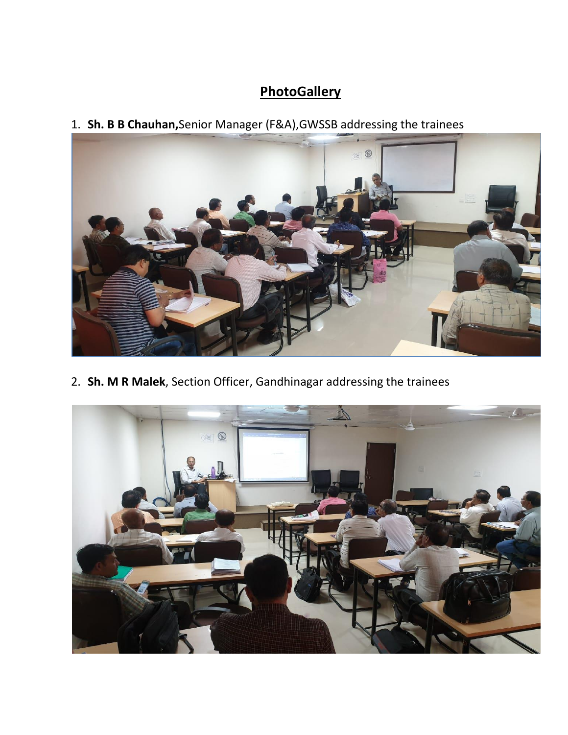### **PhotoGallery**

1. **Sh. B B Chauhan,**Senior Manager (F&A),GWSSB addressing the trainees



2. **Sh. M R Malek**, Section Officer, Gandhinagar addressing the trainees